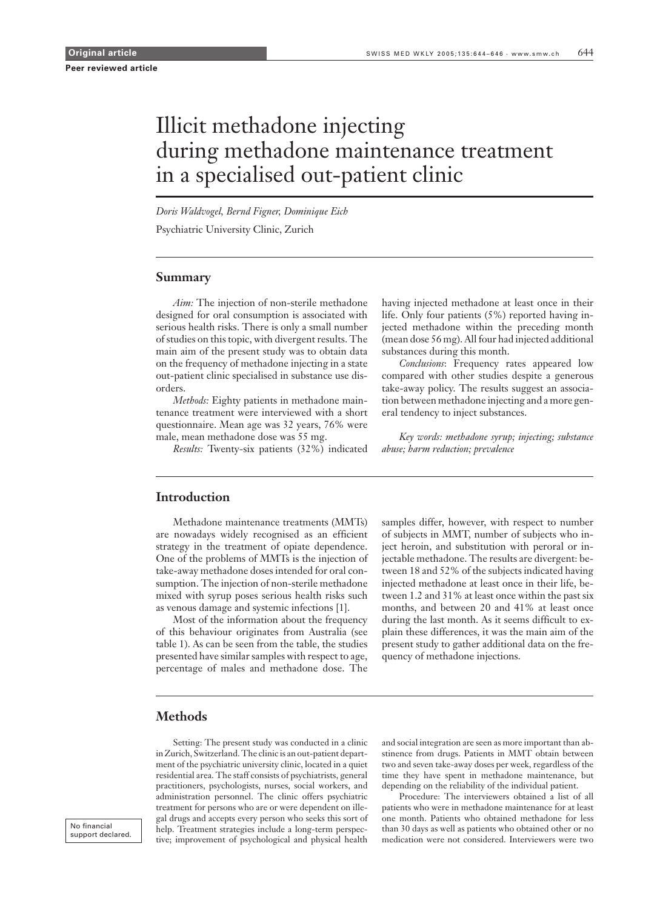# Illicit methadone injecting during methadone maintenance treatment in a specialised out-patient clinic

*Doris Waldvogel, Bernd Figner, Dominique Eich*

Psychiatric University Clinic, Zurich

### **Summary**

*Aim:* The injection of non-sterile methadone designed for oral consumption is associated with serious health risks. There is only a small number of studies on this topic, with divergent results. The main aim of the present study was to obtain data on the frequency of methadone injecting in a state out-patient clinic specialised in substance use disorders.

*Methods:* Eighty patients in methadone maintenance treatment were interviewed with a short questionnaire. Mean age was 32 years, 76% were male, mean methadone dose was 55 mg.

*Results:* Twenty-six patients (32%) indicated

having injected methadone at least once in their life. Only four patients (5%) reported having injected methadone within the preceding month (mean dose 56 mg). All four had injected additional substances during this month.

*Conclusions*: Frequency rates appeared low compared with other studies despite a generous take-away policy. The results suggest an association between methadone injecting and a more general tendency to inject substances.

*Key words: methadone syrup; injecting; substance abuse; harm reduction; prevalence*

### **Introduction**

Methadone maintenance treatments (MMTs) are nowadays widely recognised as an efficient strategy in the treatment of opiate dependence. One of the problems of MMTs is the injection of take-away methadone doses intended for oral consumption. The injection of non-sterile methadone mixed with syrup poses serious health risks such as venous damage and systemic infections [1].

Most of the information about the frequency of this behaviour originates from Australia (see table 1). As can be seen from the table, the studies presented have similar samples with respect to age, percentage of males and methadone dose. The

samples differ, however, with respect to number of subjects in MMT, number of subjects who inject heroin, and substitution with peroral or injectable methadone. The results are divergent: between 18 and 52% of the subjects indicated having injected methadone at least once in their life, between 1.2 and 31% at least once within the past six months, and between 20 and 41% at least once during the last month. As it seems difficult to explain these differences, it was the main aim of the present study to gather additional data on the frequency of methadone injections.

## **Methods**

Setting: The present study was conducted in a clinic in Zurich, Switzerland. The clinic is an out-patient department of the psychiatric university clinic, located in a quiet residential area. The staff consists of psychiatrists, general practitioners, psychologists, nurses, social workers, and administration personnel. The clinic offers psychiatric treatment for persons who are or were dependent on illegal drugs and accepts every person who seeks this sort of help. Treatment strategies include a long-term perspective; improvement of psychological and physical health

and social integration are seen as more important than abstinence from drugs. Patients in MMT obtain between two and seven take-away doses per week, regardless of the time they have spent in methadone maintenance, but depending on the reliability of the individual patient.

Procedure: The interviewers obtained a list of all patients who were in methadone maintenance for at least one month. Patients who obtained methadone for less than 30 days as well as patients who obtained other or no medication were not considered. Interviewers were two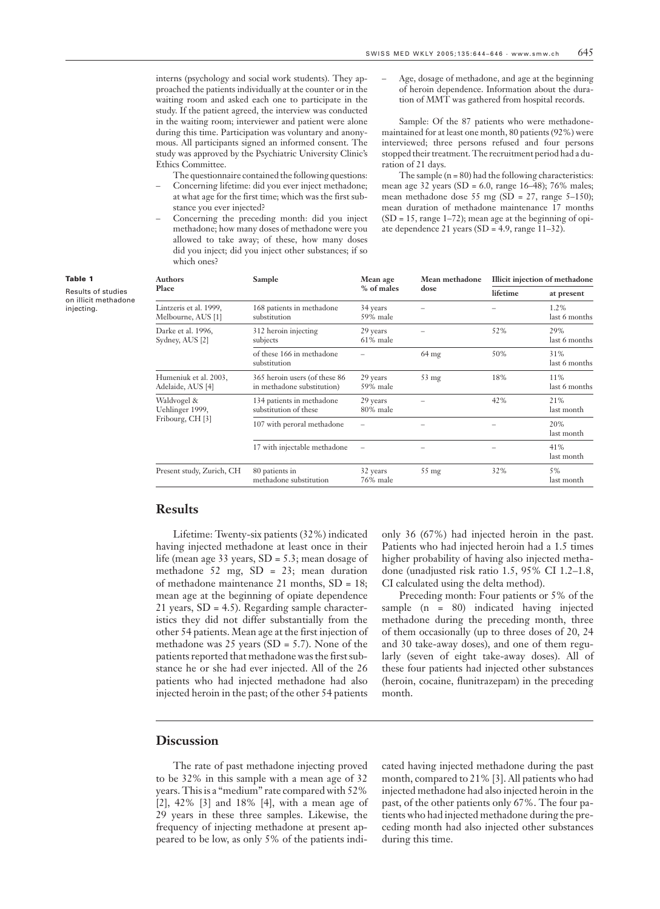interns (psychology and social work students). They approached the patients individually at the counter or in the waiting room and asked each one to participate in the study. If the patient agreed, the interview was conducted in the waiting room; interviewer and patient were alone during this time. Participation was voluntary and anonymous. All participants signed an informed consent. The study was approved by the Psychiatric University Clinic's Ethics Committee.

- The questionnaire contained the following questions: – Concerning lifetime: did you ever inject methadone; at what age for the first time; which was the first substance you ever injected?
- Concerning the preceding month: did you inject methadone; how many doses of methadone were you allowed to take away; of these, how many doses did you inject; did you inject other substances; if so which ones?

– Age, dosage of methadone, and age at the beginning of heroin dependence. Information about the duration of MMT was gathered from hospital records.

Sample: Of the 87 patients who were methadonemaintained for at least one month, 80 patients (92%) were interviewed; three persons refused and four persons stopped their treatment. The recruitment period had a duration of 21 days.

The sample  $(n = 80)$  had the following characteristics: mean age 32 years (SD = 6.0, range 16–48); 76% males; mean methadone dose 55 mg (SD = 27, range 5-150); mean duration of methadone maintenance 17 months  $(SD = 15, range 1–72)$ ; mean age at the beginning of opiate dependence 21 years (SD = 4.9, range 11–32).

| Sample                                                      | Mean age<br>% of males  | Mean methadone<br>dose | Illicit injection of methadone |                       |
|-------------------------------------------------------------|-------------------------|------------------------|--------------------------------|-----------------------|
|                                                             |                         |                        | lifetime                       | at present            |
| 168 patients in methadone<br>substitution                   | 34 years<br>59% male    |                        |                                | 1.2%<br>last 6 months |
| 312 heroin injecting<br>subjects                            | 29 years<br>$61\%$ male |                        | 52%                            | 29%<br>last 6 months  |
| of these 166 in methadone<br>substitution                   |                         | $64 \text{ mg}$        | 50%                            | 31%<br>last 6 months  |
| 365 heroin users (of these 86<br>in methadone substitution) | 29 years<br>59% male    | $53 \text{ mg}$        | 18%                            | 11%<br>last 6 months  |
| 134 patients in methadone<br>substitution of these          | 29 years<br>80% male    |                        | 42%                            | 21%<br>last month     |
| 107 with peroral methadone                                  |                         |                        |                                | 20%<br>last month     |
| 17 with injectable methadone                                |                         |                        |                                | 41%<br>last month     |
| 80 patients in<br>methadone substitution                    | 32 years<br>76% male    | $55 \text{ mg}$        | 32%                            | 5%<br>last month      |
|                                                             |                         |                        |                                |                       |

**Results**

Lifetime: Twenty-six patients (32%) indicated having injected methadone at least once in their life (mean age 33 years, SD = 5.3; mean dosage of methadone 52 mg, SD = 23; mean duration of methadone maintenance 21 months, SD = 18; mean age at the beginning of opiate dependence 21 years, SD = 4.5). Regarding sample characteristics they did not differ substantially from the other 54 patients. Mean age at the first injection of methadone was 25 years (SD = 5.7). None of the patients reported that methadone was the first substance he or she had ever injected. All of the 26 patients who had injected methadone had also injected heroin in the past; of the other 54 patients

only 36 (67%) had injected heroin in the past. Patients who had injected heroin had a 1.5 times higher probability of having also injected methadone (unadjusted risk ratio 1.5, 95% CI 1.2–1.8, CI calculated using the delta method).

Preceding month: Four patients or 5% of the sample (n = 80) indicated having injected methadone during the preceding month, three of them occasionally (up to three doses of 20, 24 and 30 take-away doses), and one of them regularly (seven of eight take-away doses). All of these four patients had injected other substances (heroin, cocaine, flunitrazepam) in the preceding month.

### **Discussion**

The rate of past methadone injecting proved to be 32% in this sample with a mean age of 32 years. This is a "medium" rate compared with 52% [2], 42% [3] and 18% [4], with a mean age of 29 years in these three samples. Likewise, the frequency of injecting methadone at present appeared to be low, as only 5% of the patients indicated having injected methadone during the past month, compared to 21% [3]. All patients who had injected methadone had also injected heroin in the past, of the other patients only 67%. The four patients who had injected methadone during the preceding month had also injected other substances during this time.

### Table 1

Results of studies on illicit methadone injecting.